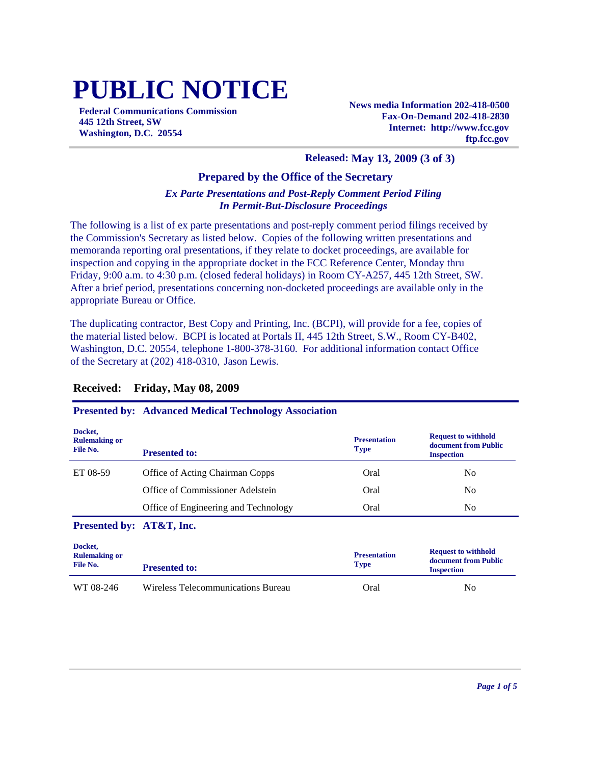# **PUBLIC NOTICE**

**Federal Communications Commission 445 12th Street, SW Washington, D.C. 20554**

**News media Information 202-418-0500 Fax-On-Demand 202-418-2830 Internet: http://www.fcc.gov ftp.fcc.gov**

#### **Released: May 13, 2009 (3 of 3)**

#### **Prepared by the Office of the Secretary**

#### *Ex Parte Presentations and Post-Reply Comment Period Filing In Permit-But-Disclosure Proceedings*

The following is a list of ex parte presentations and post-reply comment period filings received by the Commission's Secretary as listed below. Copies of the following written presentations and memoranda reporting oral presentations, if they relate to docket proceedings, are available for inspection and copying in the appropriate docket in the FCC Reference Center, Monday thru Friday, 9:00 a.m. to 4:30 p.m. (closed federal holidays) in Room CY-A257, 445 12th Street, SW. After a brief period, presentations concerning non-docketed proceedings are available only in the appropriate Bureau or Office.

The duplicating contractor, Best Copy and Printing, Inc. (BCPI), will provide for a fee, copies of the material listed below. BCPI is located at Portals II, 445 12th Street, S.W., Room CY-B402, Washington, D.C. 20554, telephone 1-800-378-3160. For additional information contact Office of the Secretary at (202) 418-0310, Jason Lewis.

| Docket,<br><b>Rulemaking or</b><br>File No. | <b>Presented to:</b>                 | <b>Presentation</b><br><b>Type</b> | <b>Request to withhold</b><br>document from Public<br><b>Inspection</b> |
|---------------------------------------------|--------------------------------------|------------------------------------|-------------------------------------------------------------------------|
| ET 08-59                                    | Office of Acting Chairman Copps      | Oral                               | N <sub>0</sub>                                                          |
|                                             | Office of Commissioner Adelstein     | Oral                               | N <sub>0</sub>                                                          |
|                                             | Office of Engineering and Technology | Oral                               | N <sub>0</sub>                                                          |
| Presented by: AT&T, Inc.                    |                                      |                                    |                                                                         |
| Docket,<br><b>Rulemaking or</b><br>File No. | <b>Presented to:</b>                 | <b>Presentation</b><br><b>Type</b> | <b>Request to withhold</b><br>document from Public<br><b>Inspection</b> |

WT 08-246 Wireless Telecommunications Bureau Cral Oral No

### **Received: Friday, May 08, 2009**

**Presented by: Advanced Medical Technology Association**

*Page 1 of 5*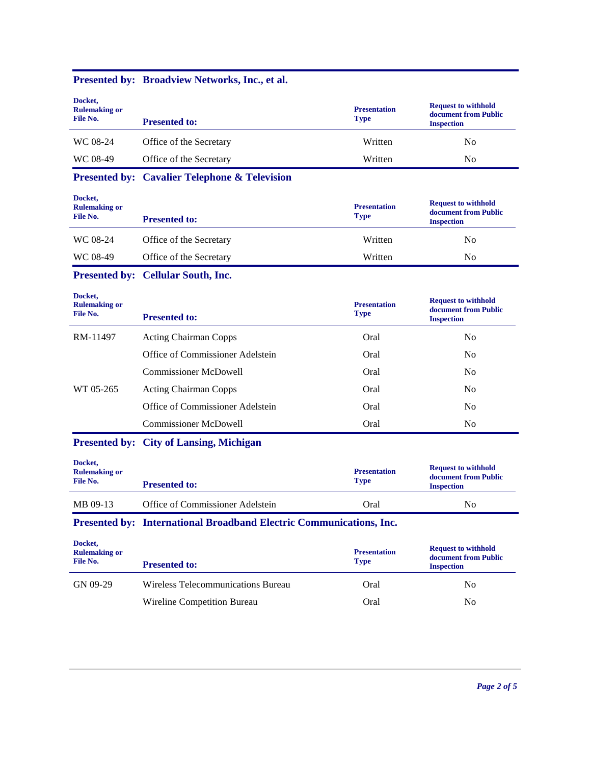| Docket,<br><b>Rulemaking or</b><br>File No. | <b>Presented to:</b>                                                | <b>Presentation</b><br><b>Type</b> | <b>Request to withhold</b><br>document from Public<br><b>Inspection</b> |
|---------------------------------------------|---------------------------------------------------------------------|------------------------------------|-------------------------------------------------------------------------|
| WC 08-24                                    | Office of the Secretary                                             | Written                            | N <sub>0</sub>                                                          |
| WC 08-49                                    | Office of the Secretary                                             | Written                            | N <sub>o</sub>                                                          |
|                                             | <b>Presented by: Cavalier Telephone &amp; Television</b>            |                                    |                                                                         |
| Docket,<br><b>Rulemaking or</b><br>File No. | <b>Presented to:</b>                                                | <b>Presentation</b><br><b>Type</b> | <b>Request to withhold</b><br>document from Public<br><b>Inspection</b> |
| WC 08-24                                    | Office of the Secretary                                             | Written                            | N <sub>0</sub>                                                          |
| WC 08-49                                    | Office of the Secretary                                             | Written                            | N <sub>0</sub>                                                          |
|                                             | <b>Presented by: Cellular South, Inc.</b>                           |                                    |                                                                         |
| Docket,<br><b>Rulemaking or</b><br>File No. | <b>Presented to:</b>                                                | <b>Presentation</b><br><b>Type</b> | <b>Request to withhold</b><br>document from Public<br><b>Inspection</b> |
| RM-11497                                    | <b>Acting Chairman Copps</b>                                        | Oral                               | N <sub>0</sub>                                                          |
|                                             | Office of Commissioner Adelstein                                    | Oral                               | N <sub>0</sub>                                                          |
|                                             | <b>Commissioner McDowell</b>                                        | Oral                               | N <sub>o</sub>                                                          |
| WT 05-265                                   | <b>Acting Chairman Copps</b>                                        | Oral                               | N <sub>0</sub>                                                          |
|                                             | Office of Commissioner Adelstein                                    | Oral                               | N <sub>0</sub>                                                          |
|                                             | <b>Commissioner McDowell</b>                                        | Oral                               | N <sub>0</sub>                                                          |
|                                             | <b>Presented by: City of Lansing, Michigan</b>                      |                                    |                                                                         |
| Docket,<br><b>Rulemaking or</b><br>File No. | <b>Presented to:</b>                                                | <b>Presentation</b><br><b>Type</b> | <b>Request to withhold</b><br>document from Public<br><b>Inspection</b> |
| MB 09-13                                    | Office of Commissioner Adelstein                                    | Oral                               | N <sub>o</sub>                                                          |
|                                             | Presented by: International Broadband Electric Communications, Inc. |                                    |                                                                         |

# **Presented by: Broadview Networks, Inc., et al.**

| Docket,<br><b>Rulemaking or</b><br>File No. | <b>Presented to:</b>               | <b>Presentation</b><br><b>Type</b> | <b>Request to withhold</b><br>document from Public<br><b>Inspection</b> |
|---------------------------------------------|------------------------------------|------------------------------------|-------------------------------------------------------------------------|
| GN 09-29                                    | Wireless Telecommunications Bureau | Oral                               | N <sub>0</sub>                                                          |
|                                             | Wireline Competition Bureau        | Oral                               | N <sub>0</sub>                                                          |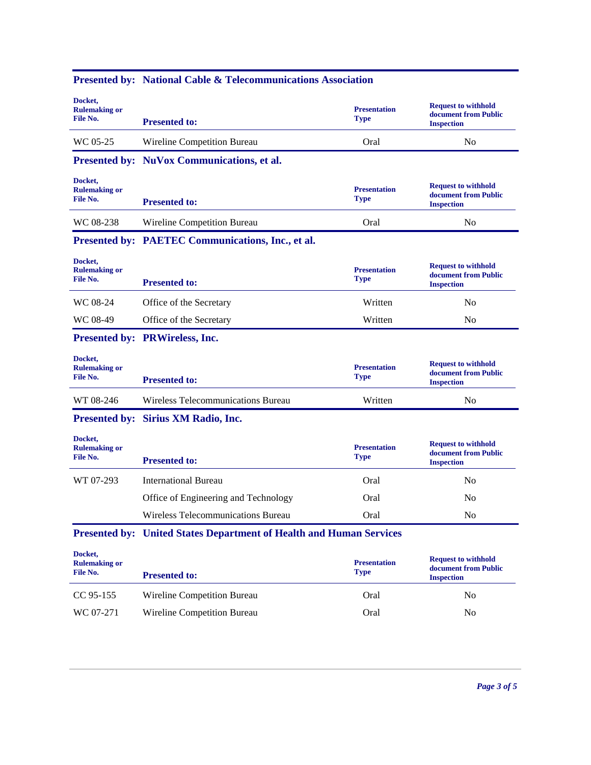| Docket,<br><b>Rulemaking or</b><br>File No. | <b>Presented to:</b>                                                       | <b>Presentation</b><br><b>Type</b> | <b>Request to withhold</b><br>document from Public<br><b>Inspection</b> |
|---------------------------------------------|----------------------------------------------------------------------------|------------------------------------|-------------------------------------------------------------------------|
| WC 05-25                                    | Wireline Competition Bureau                                                | Oral                               | N <sub>0</sub>                                                          |
|                                             | Presented by: NuVox Communications, et al.                                 |                                    |                                                                         |
| Docket,<br><b>Rulemaking or</b><br>File No. | <b>Presented to:</b>                                                       | <b>Presentation</b><br><b>Type</b> | <b>Request to withhold</b><br>document from Public<br><b>Inspection</b> |
| WC 08-238                                   | Wireline Competition Bureau                                                | Oral                               | N <sub>0</sub>                                                          |
|                                             | Presented by: PAETEC Communications, Inc., et al.                          |                                    |                                                                         |
| Docket,<br><b>Rulemaking or</b><br>File No. | <b>Presented to:</b>                                                       | <b>Presentation</b><br><b>Type</b> | <b>Request to withhold</b><br>document from Public<br><b>Inspection</b> |
| WC 08-24                                    | Office of the Secretary                                                    | Written                            | N <sub>0</sub>                                                          |
| WC 08-49                                    | Office of the Secretary                                                    | Written                            | N <sub>0</sub>                                                          |
|                                             | Presented by: PRWireless, Inc.                                             |                                    |                                                                         |
| Docket,<br><b>Rulemaking or</b><br>File No. | <b>Presented to:</b>                                                       | <b>Presentation</b><br><b>Type</b> | <b>Request to withhold</b><br>document from Public<br><b>Inspection</b> |
| WT 08-246                                   | Wireless Telecommunications Bureau                                         | Written                            | N <sub>0</sub>                                                          |
|                                             | Presented by: Sirius XM Radio, Inc.                                        |                                    |                                                                         |
| Docket,<br><b>Rulemaking or</b><br>File No. | <b>Presented to:</b>                                                       | <b>Presentation</b><br><b>Type</b> | <b>Request to withhold</b><br>document from Public<br><b>Inspection</b> |
| WT 07-293                                   | <b>International Bureau</b>                                                | Oral                               | N <sub>0</sub>                                                          |
|                                             | Office of Engineering and Technology                                       | Oral                               | No                                                                      |
|                                             | Wireless Telecommunications Bureau                                         | Oral                               | N <sub>0</sub>                                                          |
|                                             | <b>Presented by: United States Department of Health and Human Services</b> |                                    |                                                                         |
| Docket,                                     |                                                                            | <b>Presentation</b><br><b>Type</b> | <b>Request to withhold</b><br>document from Public                      |
| <b>Rulemaking or</b><br>File No.            | <b>Presented to:</b>                                                       |                                    | <b>Inspection</b>                                                       |
| CC 95-155                                   | Wireline Competition Bureau                                                | Oral                               | N <sub>o</sub>                                                          |

## **Presented by: National Cable & Telecommunications Association**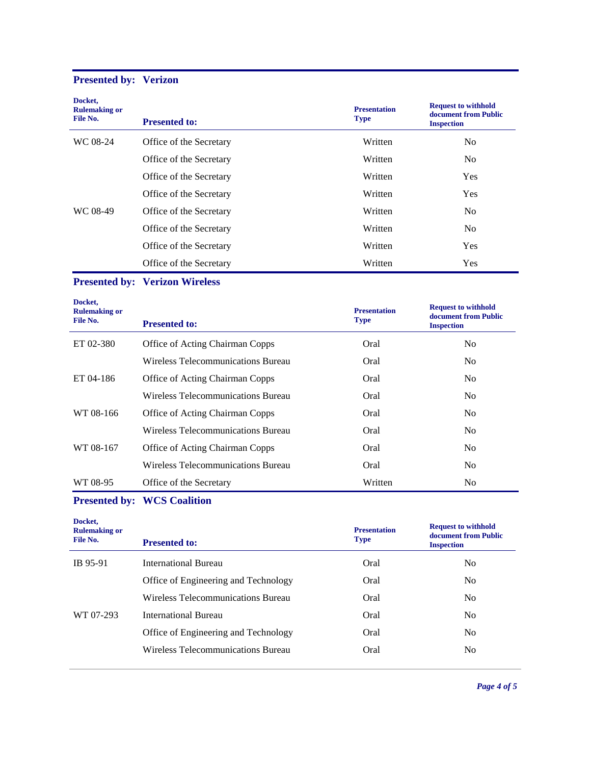# **Presented by: Verizon**

| Docket,<br><b>Rulemaking or</b><br>File No. | <b>Presented to:</b>    | <b>Presentation</b><br><b>Type</b> | <b>Request to withhold</b><br>document from Public<br><b>Inspection</b> |
|---------------------------------------------|-------------------------|------------------------------------|-------------------------------------------------------------------------|
| WC 08-24                                    | Office of the Secretary | Written                            | N <sub>0</sub>                                                          |
|                                             | Office of the Secretary | Written                            | N <sub>0</sub>                                                          |
|                                             | Office of the Secretary | Written                            | <b>Yes</b>                                                              |
|                                             | Office of the Secretary | Written                            | <b>Yes</b>                                                              |
| WC 08-49                                    | Office of the Secretary | Written                            | N <sub>0</sub>                                                          |
|                                             | Office of the Secretary | Written                            | N <sub>0</sub>                                                          |
|                                             | Office of the Secretary | Written                            | Yes                                                                     |
|                                             | Office of the Secretary | Written                            | Yes                                                                     |

## **Presented by: Verizon Wireless**

| Docket,<br><b>Rulemaking or</b><br>File No. | <b>Presented to:</b>                   | <b>Presentation</b><br>Type | <b>Request to withhold</b><br>document from Public<br><b>Inspection</b> |
|---------------------------------------------|----------------------------------------|-----------------------------|-------------------------------------------------------------------------|
| ET 02-380                                   | Office of Acting Chairman Copps        | Oral                        | N <sub>0</sub>                                                          |
|                                             | Wireless Telecommunications Bureau     | Oral                        | No.                                                                     |
| ET 04-186                                   | <b>Office of Acting Chairman Copps</b> | Oral                        | No.                                                                     |
|                                             | Wireless Telecommunications Bureau     | Oral                        | N <sub>0</sub>                                                          |
| WT 08-166                                   | Office of Acting Chairman Copps        | Oral                        | N <sub>0</sub>                                                          |
|                                             | Wireless Telecommunications Bureau     | Oral                        | No                                                                      |
| WT 08-167                                   | Office of Acting Chairman Copps        | Oral                        | N <sub>0</sub>                                                          |
|                                             | Wireless Telecommunications Bureau     | Oral                        | No.                                                                     |
| WT 08-95                                    | Office of the Secretary                | Written                     | N <sub>0</sub>                                                          |

# **Presented by: WCS Coalition**

| Docket,<br><b>Rulemaking or</b><br>File No. | <b>Presented to:</b>                 | <b>Presentation</b><br><b>Type</b> | <b>Request to withhold</b><br>document from Public<br><b>Inspection</b> |
|---------------------------------------------|--------------------------------------|------------------------------------|-------------------------------------------------------------------------|
| IB 95-91                                    | International Bureau                 | Oral                               | No                                                                      |
|                                             | Office of Engineering and Technology | Oral                               | No                                                                      |
|                                             | Wireless Telecommunications Bureau   | Oral                               | N <sub>0</sub>                                                          |
| WT 07-293                                   | <b>International Bureau</b>          | Oral                               | No                                                                      |
|                                             | Office of Engineering and Technology | Oral                               | No                                                                      |
|                                             | Wireless Telecommunications Bureau   | Oral                               | No                                                                      |
|                                             |                                      |                                    |                                                                         |